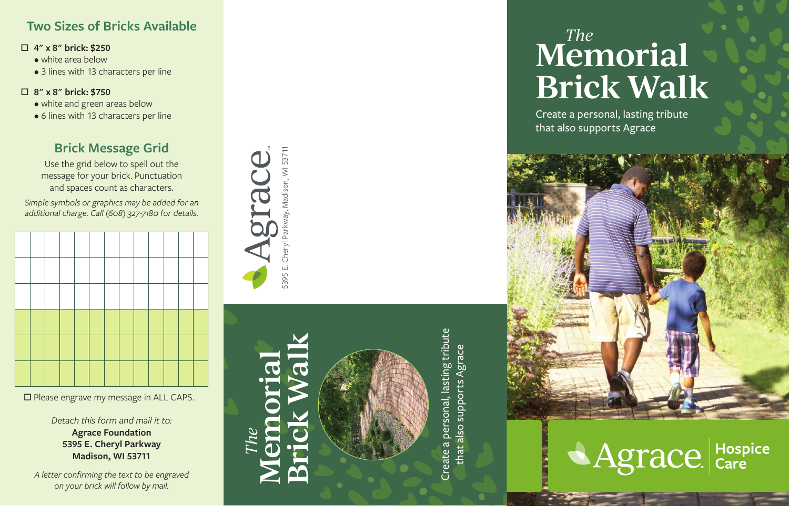### **Two Sizes of Bricks Available**

#### **4" x 8" brick: \$250**

- white area below
- 3 lines with 13 characters per line

#### **8" x 8" brick: \$750**

- white and green areas below
- 6 lines with 13 characters per line

## **Brick Message Grid**

Use the grid below to spell out the message for your brick. Punctuation and spaces count as characters.

*Simple symbols or graphics may be added for an additional charge. Call (608) 327-7180 for details.*

D Please engrave my message in ALL CAPS.

*Detach this form and mail it to:*  **Agrace Foundation 5395 E. Cheryl Parkway Madison, WI 53711**

*A letter confirming the text to be engraved on your brick will follow by mail.* 



 *The* 



Create a personal, lasting tribute personal, lasting tribute that also supports Agrace that also supports Agrace Create a

## *The*  **Memorial Brick Walk**

Create a personal, lasting tribute that also supports Agrace



# Agrace Hospice